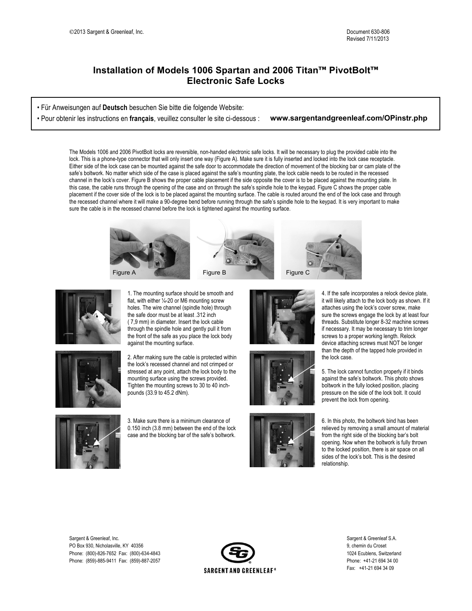## **Installation of Models 1006 Spartan and 2006 Titan™ PivotBolt™ Electronic Safe Locks**

• Für Anweisungen auf **Deutsch** besuchen Sie bitte die folgende Website:

• Pour obtenir les instructions en **français**, veuillez consulter le site ci-dessous : **www.sargentandgreenleaf.com/OPinstr.php**

The Models 1006 and 2006 PivotBolt locks are reversible, non-handed electronic safe locks. It will be necessary to plug the provided cable into the lock. This is a phone-type connector that will only insert one way (Figure A). Make sure it is fully inserted and locked into the lock case receptacle. Either side of the lock case can be mounted against the safe door to accommodate the direction of movement of the blocking bar or cam plate of the safe's boltwork. No matter which side of the case is placed against the safe's mounting plate, the lock cable needs to be routed in the recessed channel in the lock's cover. Figure B shows the proper cable placement if the side opposite the cover is to be placed against the mounting plate. In this case, the cable runs through the opening of the case and on through the safe's spindle hole to the keypad. Figure C shows the proper cable placement if the cover side of the lock is to be placed against the mounting surface. The cable is routed around the end of the lock case and through the recessed channel where it will make a 90-degree bend before running through the safe's spindle hole to the keypad. It is very important to make sure the cable is in the recessed channel before the lock is tightened against the mounting surface.





**OPinstr.php**

1. The mounting surface should be smooth and flat, with either  $\frac{1}{4}$ -20 or M6 mounting screw holes. The wire channel (spindle hole) through the safe door must be at least .312 inch ( 7,9 mm) in diameter. Insert the lock cable through the spindle hole and gently pull it from the front of the safe as you place the lock body against the mounting surface.

2. After making sure the cable is protected within the lock's recessed channel and not crimped or stressed at any point, attach the lock body to the mounting surface using the screws provided. Tighten the mounting screws to 30 to 40 inchpounds (33.9 to 45.2 dNm).



3. Make sure there is a minimum clearance of 0.150 inch (3.8 mm) between the end of the lock case and the blocking bar of the safe's boltwork.







4. If the safe incorporates a relock device plate, it will likely attach to the lock body as shown. If it attaches using the lock's cover screw, make sure the screws engage the lock by at least four threads. Substitute longer 8-32 machine screws if necessary. It may be necessary to trim longer screws to a proper working length. Relock device attaching screws must NOT be longer than the depth of the tapped hole provided in the lock case.

5. The lock cannot function properly if it binds against the safe's boltwork. This photo shows boltwork in the fully locked position, placing pressure on the side of the lock bolt. It could prevent the lock from opening.

6. In this photo, the boltwork bind has been relieved by removing a small amount of material from the right side of the blocking bar's bolt opening. Now when the boltwork is fully thrown to the locked position, there is air space on all sides of the lock's bolt. This is the desired relationship.

Sargent & Greenleaf. Inc. Sargent & Greenleaf S.A. PO Box 930, Nicholasville, KY 40356 9, chemin du Croset Phone: (800)-826-7652 Fax: (800)-634-4843 1024 Ecublens, Switzerland Phone: (859)-885-9411 Fax: (859)-887-2057 Phone: +41-21 694 34 00



Fax: +41-21 694 34 09